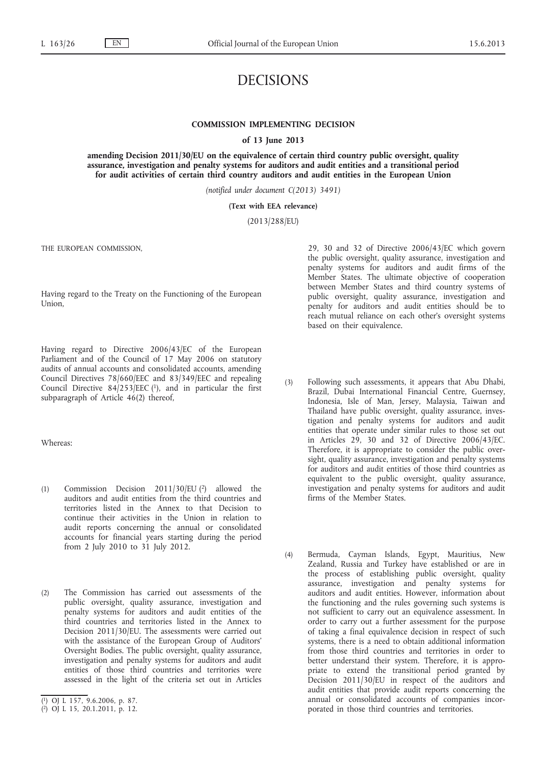# DECISIONS

## **COMMISSION IMPLEMENTING DECISION**

**of 13 June 2013**

**amending Decision 2011/30/EU on the equivalence of certain third country public oversight, quality assurance, investigation and penalty systems for auditors and audit entities and a transitional period for audit activities of certain third country auditors and audit entities in the European Union**

*(notified under document C(2013) 3491)*

### **(Text with EEA relevance)**

(2013/288/EU)

THE EUROPEAN COMMISSION,

Having regard to the Treaty on the Functioning of the European Union,

Having regard to Directive 2006/43/EC of the European Parliament and of the Council of 17 May 2006 on statutory audits of annual accounts and consolidated accounts, amending Council Directives 78/660/EEC and 83/349/EEC and repealing Council Directive  $84/253/EEC$  (1), and in particular the first subparagraph of Article 46(2) thereof,

Whereas:

- (1) Commission Decision 2011/30/EU (2) allowed the auditors and audit entities from the third countries and territories listed in the Annex to that Decision to continue their activities in the Union in relation to audit reports concerning the annual or consolidated accounts for financial years starting during the period from 2 July 2010 to 31 July 2012.
- (2) The Commission has carried out assessments of the public oversight, quality assurance, investigation and penalty systems for auditors and audit entities of the third countries and territories listed in the Annex to Decision 2011/30/EU. The assessments were carried out with the assistance of the European Group of Auditors' Oversight Bodies. The public oversight, quality assurance, investigation and penalty systems for auditors and audit entities of those third countries and territories were assessed in the light of the criteria set out in Articles

29, 30 and 32 of Directive 2006/43/EC which govern the public oversight, quality assurance, investigation and penalty systems for auditors and audit firms of the Member States. The ultimate objective of cooperation between Member States and third country systems of public oversight, quality assurance, investigation and penalty for auditors and audit entities should be to reach mutual reliance on each other's oversight systems based on their equivalence.

- (3) Following such assessments, it appears that Abu Dhabi, Brazil, Dubai International Financial Centre, Guernsey, Indonesia, Isle of Man, Jersey, Malaysia, Taiwan and Thailand have public oversight, quality assurance, investigation and penalty systems for auditors and audit entities that operate under similar rules to those set out in Articles 29, 30 and 32 of Directive 2006/43/EC. Therefore, it is appropriate to consider the public oversight, quality assurance, investigation and penalty systems for auditors and audit entities of those third countries as equivalent to the public oversight, quality assurance, investigation and penalty systems for auditors and audit firms of the Member States.
- (4) Bermuda, Cayman Islands, Egypt, Mauritius, New Zealand, Russia and Turkey have established or are in the process of establishing public oversight, quality assurance, investigation and penalty systems for auditors and audit entities. However, information about the functioning and the rules governing such systems is not sufficient to carry out an equivalence assessment. In order to carry out a further assessment for the purpose of taking a final equivalence decision in respect of such systems, there is a need to obtain additional information from those third countries and territories in order to better understand their system. Therefore, it is appropriate to extend the transitional period granted by Decision 2011/30/EU in respect of the auditors and audit entities that provide audit reports concerning the annual or consolidated accounts of companies incorporated in those third countries and territories.

<sup>(</sup> 1) OJ L 157, 9.6.2006, p. 87.

<sup>(</sup> 2) OJ L 15, 20.1.2011, p. 12.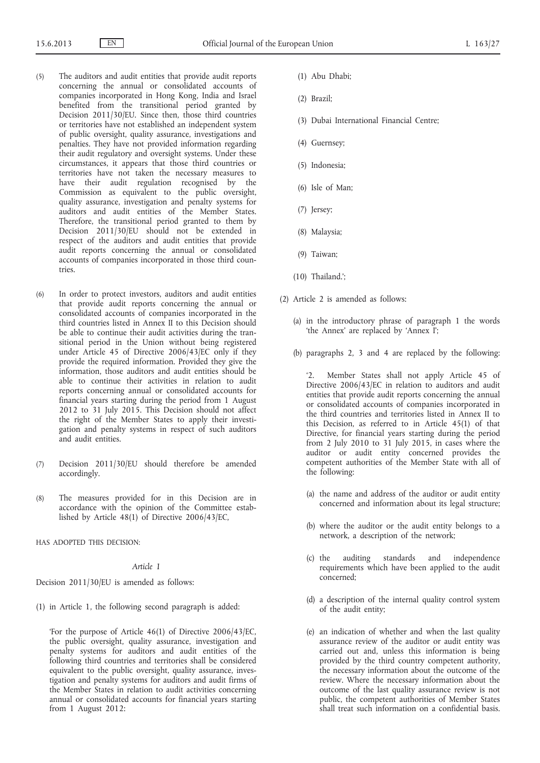- (5) The auditors and audit entities that provide audit reports concerning the annual or consolidated accounts of companies incorporated in Hong Kong, India and Israel benefited from the transitional period granted by Decision 2011/30/EU. Since then, those third countries or territories have not established an independent system of public oversight, quality assurance, investigations and penalties. They have not provided information regarding their audit regulatory and oversight systems. Under these circumstances, it appears that those third countries or territories have not taken the necessary measures to have their audit regulation recognised by the Commission as equivalent to the public oversight, quality assurance, investigation and penalty systems for auditors and audit entities of the Member States. Therefore, the transitional period granted to them by Decision 2011/30/EU should not be extended in respect of the auditors and audit entities that provide audit reports concerning the annual or consolidated accounts of companies incorporated in those third countries.
- (6) In order to protect investors, auditors and audit entities that provide audit reports concerning the annual or consolidated accounts of companies incorporated in the third countries listed in Annex II to this Decision should be able to continue their audit activities during the transitional period in the Union without being registered under Article 45 of Directive 2006/43/EC only if they provide the required information. Provided they give the information, those auditors and audit entities should be able to continue their activities in relation to audit reports concerning annual or consolidated accounts for financial years starting during the period from 1 August 2012 to 31 July 2015. This Decision should not affect the right of the Member States to apply their investigation and penalty systems in respect of such auditors and audit entities.
- (7) Decision 2011/30/EU should therefore be amended accordingly.
- (8) The measures provided for in this Decision are in accordance with the opinion of the Committee established by Article 48(1) of Directive 2006/43/EC,
- HAS ADOPTED THIS DECISION:

#### *Article 1*

Decision 2011/30/EU is amended as follows:

(1) in Article 1, the following second paragraph is added:

'For the purpose of Article 46(1) of Directive 2006/43/EC, the public oversight, quality assurance, investigation and penalty systems for auditors and audit entities of the following third countries and territories shall be considered equivalent to the public oversight, quality assurance, investigation and penalty systems for auditors and audit firms of the Member States in relation to audit activities concerning annual or consolidated accounts for financial years starting from 1 August 2012:

- (1) Abu Dhabi;
- (2) Brazil;
- (3) Dubai International Financial Centre;
- (4) Guernsey;
- (5) Indonesia;
- (6) Isle of Man;
- (7) Jersey;
- (8) Malaysia;
- (9) Taiwan;
- (10) Thailand.';
- (2) Article 2 is amended as follows:
	- (a) in the introductory phrase of paragraph 1 the words 'the Annex' are replaced by 'Annex I';
	- (b) paragraphs 2, 3 and 4 are replaced by the following:

'2. Member States shall not apply Article 45 of Directive 2006/43/EC in relation to auditors and audit entities that provide audit reports concerning the annual or consolidated accounts of companies incorporated in the third countries and territories listed in Annex II to this Decision, as referred to in Article 45(1) of that Directive, for financial years starting during the period from 2 July 2010 to 31 July 2015, in cases where the auditor or audit entity concerned provides the competent authorities of the Member State with all of the following:

- (a) the name and address of the auditor or audit entity concerned and information about its legal structure;
- (b) where the auditor or the audit entity belongs to a network, a description of the network;
- (c) the auditing standards and independence requirements which have been applied to the audit concerned;
- (d) a description of the internal quality control system of the audit entity;
- (e) an indication of whether and when the last quality assurance review of the auditor or audit entity was carried out and, unless this information is being provided by the third country competent authority, the necessary information about the outcome of the review. Where the necessary information about the outcome of the last quality assurance review is not public, the competent authorities of Member States shall treat such information on a confidential basis.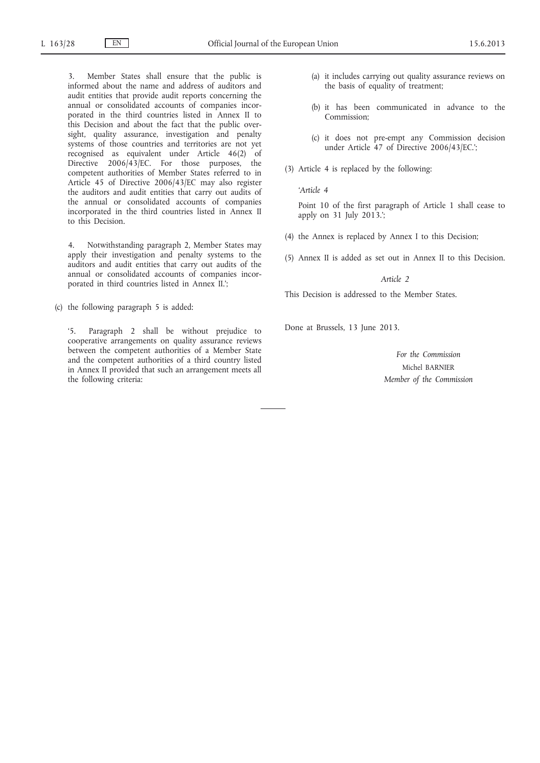3. Member States shall ensure that the public is informed about the name and address of auditors and audit entities that provide audit reports concerning the annual or consolidated accounts of companies incorporated in the third countries listed in Annex II to this Decision and about the fact that the public oversight, quality assurance, investigation and penalty systems of those countries and territories are not yet recognised as equivalent under Article 46(2) of Directive 2006/43/EC. For those purposes, the competent authorities of Member States referred to in Article 45 of Directive 2006/43/EC may also register the auditors and audit entities that carry out audits of the annual or consolidated accounts of companies incorporated in the third countries listed in Annex II to this Decision.

4. Notwithstanding paragraph 2, Member States may apply their investigation and penalty systems to the auditors and audit entities that carry out audits of the annual or consolidated accounts of companies incorporated in third countries listed in Annex II.';

(c) the following paragraph 5 is added:

'5. Paragraph 2 shall be without prejudice to cooperative arrangements on quality assurance reviews between the competent authorities of a Member State and the competent authorities of a third country listed in Annex II provided that such an arrangement meets all the following criteria:

- (a) it includes carrying out quality assurance reviews on the basis of equality of treatment;
- (b) it has been communicated in advance to the Commission;
- (c) it does not pre-empt any Commission decision under Article 47 of Directive 2006/43/EC.';
- (3) Article 4 is replaced by the following:

*'Article 4*

Point 10 of the first paragraph of Article 1 shall cease to apply on 31 July 2013.';

- (4) the Annex is replaced by Annex I to this Decision;
- (5) Annex II is added as set out in Annex II to this Decision.

#### *Article 2*

This Decision is addressed to the Member States.

Done at Brussels, 13 June 2013.

*For the Commission* Michel BARNIER *Member of the Commission*